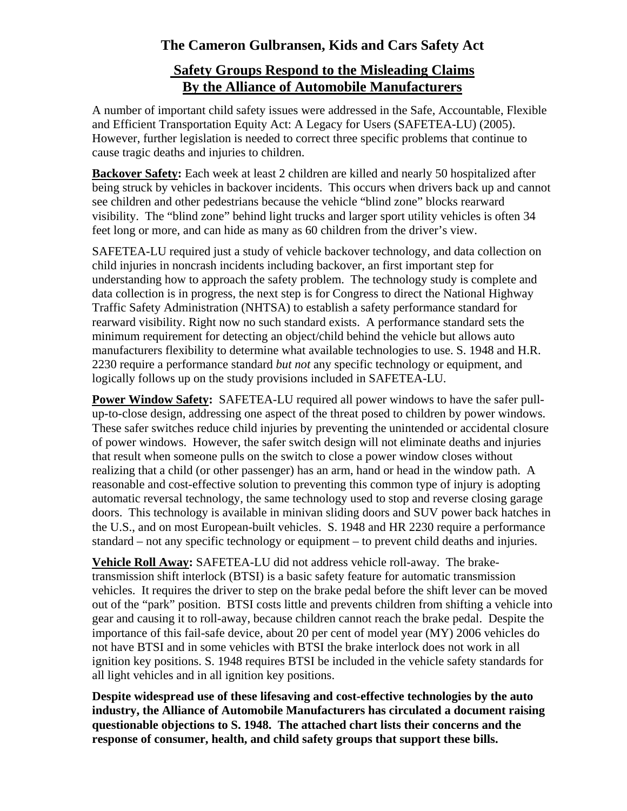### **The Cameron Gulbransen, Kids and Cars Safety Act**

### **Safety Groups Respond to the Misleading Claims By the Alliance of Automobile Manufacturers**

A number of important child safety issues were addressed in the Safe, Accountable, Flexible and Efficient Transportation Equity Act: A Legacy for Users (SAFETEA-LU) (2005). However, further legislation is needed to correct three specific problems that continue to cause tragic deaths and injuries to children.

**Backover Safety:** Each week at least 2 children are killed and nearly 50 hospitalized after being struck by vehicles in backover incidents. This occurs when drivers back up and cannot see children and other pedestrians because the vehicle "blind zone" blocks rearward visibility. The "blind zone" behind light trucks and larger sport utility vehicles is often 34 feet long or more, and can hide as many as 60 children from the driver's view.

SAFETEA-LU required just a study of vehicle backover technology, and data collection on child injuries in noncrash incidents including backover, an first important step for understanding how to approach the safety problem. The technology study is complete and data collection is in progress, the next step is for Congress to direct the National Highway Traffic Safety Administration (NHTSA) to establish a safety performance standard for rearward visibility. Right now no such standard exists. A performance standard sets the minimum requirement for detecting an object/child behind the vehicle but allows auto manufacturers flexibility to determine what available technologies to use. S. 1948 and H.R. 2230 require a performance standard *but not* any specific technology or equipment, and logically follows up on the study provisions included in SAFETEA-LU.

**Power Window Safety:** SAFETEA-LU required all power windows to have the safer pullup-to-close design, addressing one aspect of the threat posed to children by power windows. These safer switches reduce child injuries by preventing the unintended or accidental closure of power windows. However, the safer switch design will not eliminate deaths and injuries that result when someone pulls on the switch to close a power window closes without realizing that a child (or other passenger) has an arm, hand or head in the window path. A reasonable and cost-effective solution to preventing this common type of injury is adopting automatic reversal technology, the same technology used to stop and reverse closing garage doors. This technology is available in minivan sliding doors and SUV power back hatches in the U.S., and on most European-built vehicles. S. 1948 and HR 2230 require a performance standard – not any specific technology or equipment – to prevent child deaths and injuries.

**Vehicle Roll Away:** SAFETEA-LU did not address vehicle roll-away. The braketransmission shift interlock (BTSI) is a basic safety feature for automatic transmission vehicles. It requires the driver to step on the brake pedal before the shift lever can be moved out of the "park" position. BTSI costs little and prevents children from shifting a vehicle into gear and causing it to roll-away, because children cannot reach the brake pedal. Despite the importance of this fail-safe device, about 20 per cent of model year (MY) 2006 vehicles do not have BTSI and in some vehicles with BTSI the brake interlock does not work in all ignition key positions. S. 1948 requires BTSI be included in the vehicle safety standards for all light vehicles and in all ignition key positions.

**Despite widespread use of these lifesaving and cost-effective technologies by the auto industry, the Alliance of Automobile Manufacturers has circulated a document raising questionable objections to S. 1948. The attached chart lists their concerns and the response of consumer, health, and child safety groups that support these bills.**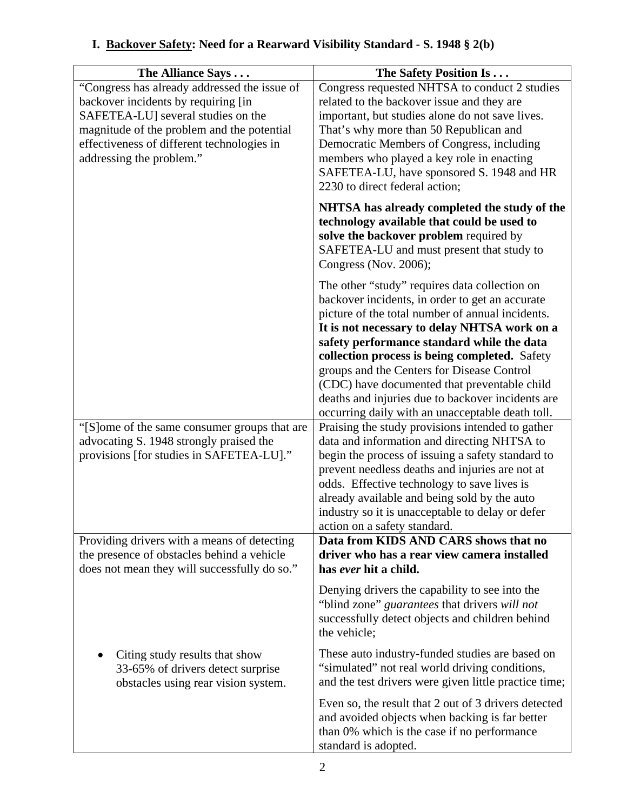| "Congress has already addressed the issue of<br>Congress requested NHTSA to conduct 2 studies<br>backover incidents by requiring [in<br>related to the backover issue and they are<br>SAFETEA-LU] several studies on the<br>important, but studies alone do not save lives.<br>magnitude of the problem and the potential<br>That's why more than 50 Republican and<br>effectiveness of different technologies in<br>Democratic Members of Congress, including<br>addressing the problem."<br>members who played a key role in enacting<br>SAFETEA-LU, have sponsored S. 1948 and HR<br>2230 to direct federal action; |
|------------------------------------------------------------------------------------------------------------------------------------------------------------------------------------------------------------------------------------------------------------------------------------------------------------------------------------------------------------------------------------------------------------------------------------------------------------------------------------------------------------------------------------------------------------------------------------------------------------------------|
|                                                                                                                                                                                                                                                                                                                                                                                                                                                                                                                                                                                                                        |
|                                                                                                                                                                                                                                                                                                                                                                                                                                                                                                                                                                                                                        |
|                                                                                                                                                                                                                                                                                                                                                                                                                                                                                                                                                                                                                        |
|                                                                                                                                                                                                                                                                                                                                                                                                                                                                                                                                                                                                                        |
|                                                                                                                                                                                                                                                                                                                                                                                                                                                                                                                                                                                                                        |
|                                                                                                                                                                                                                                                                                                                                                                                                                                                                                                                                                                                                                        |
|                                                                                                                                                                                                                                                                                                                                                                                                                                                                                                                                                                                                                        |
|                                                                                                                                                                                                                                                                                                                                                                                                                                                                                                                                                                                                                        |
| NHTSA has already completed the study of the                                                                                                                                                                                                                                                                                                                                                                                                                                                                                                                                                                           |
| technology available that could be used to                                                                                                                                                                                                                                                                                                                                                                                                                                                                                                                                                                             |
| solve the backover problem required by                                                                                                                                                                                                                                                                                                                                                                                                                                                                                                                                                                                 |
| SAFETEA-LU and must present that study to                                                                                                                                                                                                                                                                                                                                                                                                                                                                                                                                                                              |
| Congress (Nov. 2006);                                                                                                                                                                                                                                                                                                                                                                                                                                                                                                                                                                                                  |
| The other "study" requires data collection on                                                                                                                                                                                                                                                                                                                                                                                                                                                                                                                                                                          |
| backover incidents, in order to get an accurate                                                                                                                                                                                                                                                                                                                                                                                                                                                                                                                                                                        |
| picture of the total number of annual incidents.                                                                                                                                                                                                                                                                                                                                                                                                                                                                                                                                                                       |
| It is not necessary to delay NHTSA work on a                                                                                                                                                                                                                                                                                                                                                                                                                                                                                                                                                                           |
| safety performance standard while the data                                                                                                                                                                                                                                                                                                                                                                                                                                                                                                                                                                             |
| collection process is being completed. Safety<br>groups and the Centers for Disease Control                                                                                                                                                                                                                                                                                                                                                                                                                                                                                                                            |
| (CDC) have documented that preventable child                                                                                                                                                                                                                                                                                                                                                                                                                                                                                                                                                                           |
| deaths and injuries due to backover incidents are                                                                                                                                                                                                                                                                                                                                                                                                                                                                                                                                                                      |
| occurring daily with an unacceptable death toll.                                                                                                                                                                                                                                                                                                                                                                                                                                                                                                                                                                       |
| "[S]ome of the same consumer groups that are<br>Praising the study provisions intended to gather                                                                                                                                                                                                                                                                                                                                                                                                                                                                                                                       |
| advocating S. 1948 strongly praised the<br>data and information and directing NHTSA to                                                                                                                                                                                                                                                                                                                                                                                                                                                                                                                                 |
| provisions [for studies in SAFETEA-LU]."<br>begin the process of issuing a safety standard to                                                                                                                                                                                                                                                                                                                                                                                                                                                                                                                          |
| prevent needless deaths and injuries are not at                                                                                                                                                                                                                                                                                                                                                                                                                                                                                                                                                                        |
| odds. Effective technology to save lives is                                                                                                                                                                                                                                                                                                                                                                                                                                                                                                                                                                            |
| already available and being sold by the auto                                                                                                                                                                                                                                                                                                                                                                                                                                                                                                                                                                           |
| industry so it is unacceptable to delay or defer                                                                                                                                                                                                                                                                                                                                                                                                                                                                                                                                                                       |
| action on a safety standard.<br>Providing drivers with a means of detecting<br>Data from KIDS AND CARS shows that no                                                                                                                                                                                                                                                                                                                                                                                                                                                                                                   |
| the presence of obstacles behind a vehicle<br>driver who has a rear view camera installed                                                                                                                                                                                                                                                                                                                                                                                                                                                                                                                              |
| does not mean they will successfully do so."<br>has ever hit a child.                                                                                                                                                                                                                                                                                                                                                                                                                                                                                                                                                  |
|                                                                                                                                                                                                                                                                                                                                                                                                                                                                                                                                                                                                                        |
| Denying drivers the capability to see into the<br>"blind zone" guarantees that drivers will not                                                                                                                                                                                                                                                                                                                                                                                                                                                                                                                        |
| successfully detect objects and children behind                                                                                                                                                                                                                                                                                                                                                                                                                                                                                                                                                                        |
| the vehicle;                                                                                                                                                                                                                                                                                                                                                                                                                                                                                                                                                                                                           |
|                                                                                                                                                                                                                                                                                                                                                                                                                                                                                                                                                                                                                        |
| These auto industry-funded studies are based on<br>Citing study results that show                                                                                                                                                                                                                                                                                                                                                                                                                                                                                                                                      |
| "simulated" not real world driving conditions,<br>33-65% of drivers detect surprise                                                                                                                                                                                                                                                                                                                                                                                                                                                                                                                                    |
| and the test drivers were given little practice time;<br>obstacles using rear vision system.                                                                                                                                                                                                                                                                                                                                                                                                                                                                                                                           |
| Even so, the result that 2 out of 3 drivers detected                                                                                                                                                                                                                                                                                                                                                                                                                                                                                                                                                                   |
| and avoided objects when backing is far better                                                                                                                                                                                                                                                                                                                                                                                                                                                                                                                                                                         |
| than 0% which is the case if no performance<br>standard is adopted.                                                                                                                                                                                                                                                                                                                                                                                                                                                                                                                                                    |

# **I. Backover Safety: Need for a Rearward Visibility Standard - S. 1948 § 2(b)**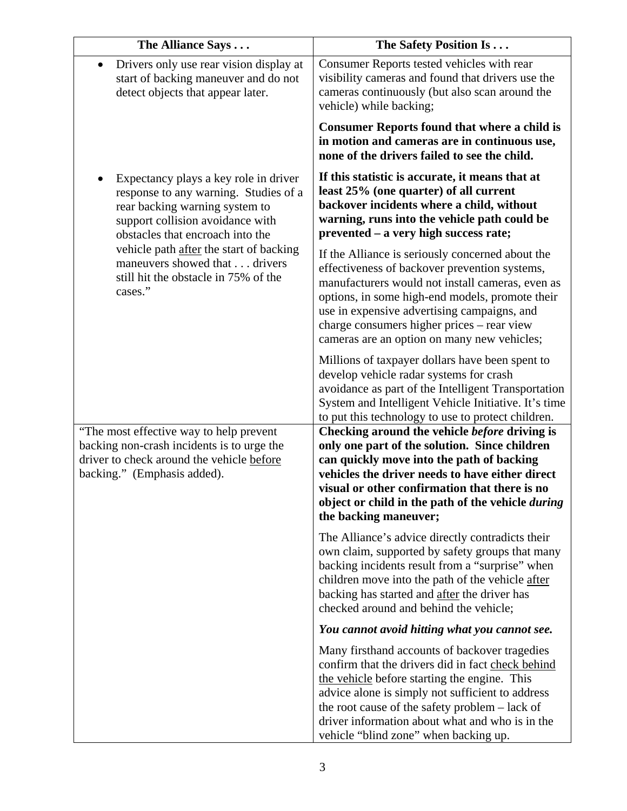| The Alliance Says                                                                                                                                                                                                                                                                                                       | The Safety Position Is                                                                                                                                                                                                                                                                                                                               |
|-------------------------------------------------------------------------------------------------------------------------------------------------------------------------------------------------------------------------------------------------------------------------------------------------------------------------|------------------------------------------------------------------------------------------------------------------------------------------------------------------------------------------------------------------------------------------------------------------------------------------------------------------------------------------------------|
| Drivers only use rear vision display at<br>start of backing maneuver and do not<br>detect objects that appear later.                                                                                                                                                                                                    | Consumer Reports tested vehicles with rear<br>visibility cameras and found that drivers use the<br>cameras continuously (but also scan around the<br>vehicle) while backing;                                                                                                                                                                         |
|                                                                                                                                                                                                                                                                                                                         | <b>Consumer Reports found that where a child is</b><br>in motion and cameras are in continuous use,<br>none of the drivers failed to see the child.                                                                                                                                                                                                  |
| Expectancy plays a key role in driver<br>response to any warning. Studies of a<br>rear backing warning system to<br>support collision avoidance with<br>obstacles that encroach into the<br>vehicle path after the start of backing<br>maneuvers showed that drivers<br>still hit the obstacle in 75% of the<br>cases." | If this statistic is accurate, it means that at<br>least 25% (one quarter) of all current<br>backover incidents where a child, without<br>warning, runs into the vehicle path could be<br>prevented – a very high success rate;                                                                                                                      |
|                                                                                                                                                                                                                                                                                                                         | If the Alliance is seriously concerned about the<br>effectiveness of backover prevention systems,<br>manufacturers would not install cameras, even as<br>options, in some high-end models, promote their<br>use in expensive advertising campaigns, and<br>charge consumers higher prices – rear view<br>cameras are an option on many new vehicles; |
|                                                                                                                                                                                                                                                                                                                         | Millions of taxpayer dollars have been spent to<br>develop vehicle radar systems for crash<br>avoidance as part of the Intelligent Transportation<br>System and Intelligent Vehicle Initiative. It's time<br>to put this technology to use to protect children.                                                                                      |
| "The most effective way to help prevent"<br>backing non-crash incidents is to urge the<br>driver to check around the vehicle before<br>backing." (Emphasis added).                                                                                                                                                      | Checking around the vehicle before driving is<br>only one part of the solution. Since children<br>can quickly move into the path of backing<br>vehicles the driver needs to have either direct<br>visual or other confirmation that there is no<br>object or child in the path of the vehicle <i>during</i><br>the backing maneuver;                 |
|                                                                                                                                                                                                                                                                                                                         | The Alliance's advice directly contradicts their<br>own claim, supported by safety groups that many<br>backing incidents result from a "surprise" when<br>children move into the path of the vehicle after<br>backing has started and after the driver has<br>checked around and behind the vehicle;                                                 |
|                                                                                                                                                                                                                                                                                                                         | You cannot avoid hitting what you cannot see.                                                                                                                                                                                                                                                                                                        |
|                                                                                                                                                                                                                                                                                                                         | Many firsthand accounts of backover tragedies<br>confirm that the drivers did in fact check behind<br>the vehicle before starting the engine. This<br>advice alone is simply not sufficient to address<br>the root cause of the safety problem - lack of<br>driver information about what and who is in the<br>vehicle "blind zone" when backing up. |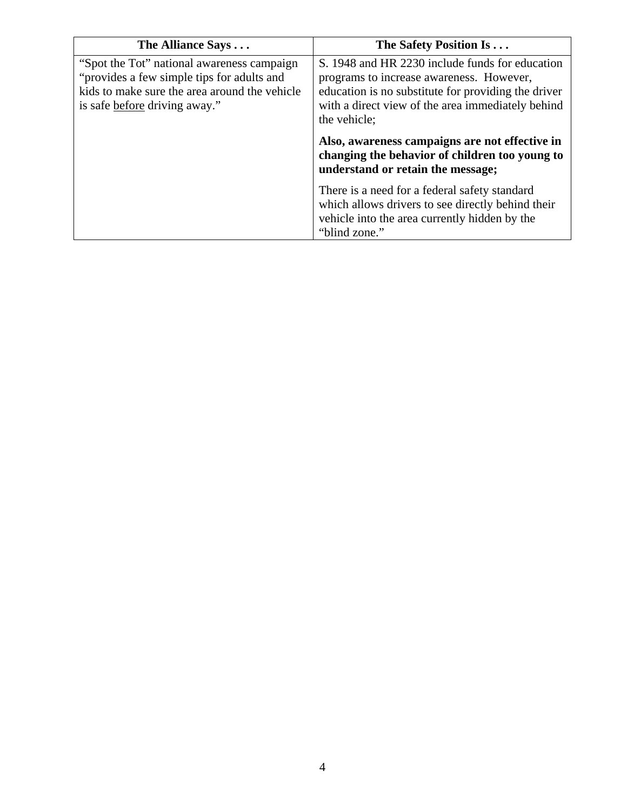| The Alliance Says                                                                                                                                                          | The Safety Position Is                                                                                                                                                                                                  |
|----------------------------------------------------------------------------------------------------------------------------------------------------------------------------|-------------------------------------------------------------------------------------------------------------------------------------------------------------------------------------------------------------------------|
| "Spot the Tot" national awareness campaign<br>"provides a few simple tips for adults and<br>kids to make sure the area around the vehicle<br>is safe before driving away." | S. 1948 and HR 2230 include funds for education<br>programs to increase awareness. However,<br>education is no substitute for providing the driver<br>with a direct view of the area immediately behind<br>the vehicle; |
|                                                                                                                                                                            | Also, awareness campaigns are not effective in<br>changing the behavior of children too young to<br>understand or retain the message;                                                                                   |
|                                                                                                                                                                            | There is a need for a federal safety standard<br>which allows drivers to see directly behind their<br>vehicle into the area currently hidden by the<br>"blind zone."                                                    |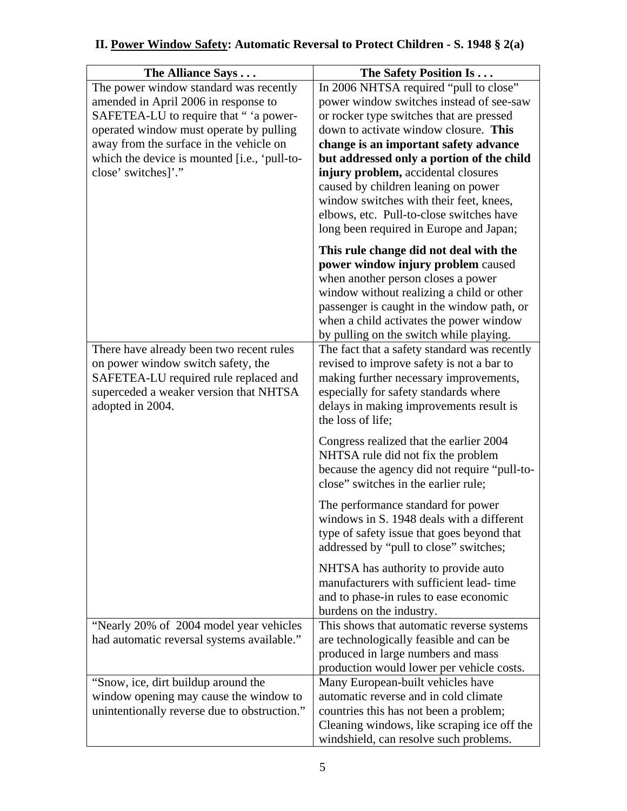# **II. Power Window Safety: Automatic Reversal to Protect Children - S. 1948 § 2(a)**

| The Alliance Says                            | The Safety Position Is                                                                  |
|----------------------------------------------|-----------------------------------------------------------------------------------------|
| The power window standard was recently       | In 2006 NHTSA required "pull to close"                                                  |
| amended in April 2006 in response to         | power window switches instead of see-saw                                                |
| SAFETEA-LU to require that " 'a power-       | or rocker type switches that are pressed                                                |
| operated window must operate by pulling      | down to activate window closure. This                                                   |
| away from the surface in the vehicle on      | change is an important safety advance                                                   |
| which the device is mounted [i.e., 'pull-to- | but addressed only a portion of the child                                               |
| close' switches]'."                          | injury problem, accidental closures                                                     |
|                                              | caused by children leaning on power<br>window switches with their feet, knees,          |
|                                              | elbows, etc. Pull-to-close switches have                                                |
|                                              | long been required in Europe and Japan;                                                 |
|                                              |                                                                                         |
|                                              | This rule change did not deal with the                                                  |
|                                              | power window injury problem caused                                                      |
|                                              | when another person closes a power                                                      |
|                                              | window without realizing a child or other<br>passenger is caught in the window path, or |
|                                              | when a child activates the power window                                                 |
|                                              | by pulling on the switch while playing.                                                 |
| There have already been two recent rules     | The fact that a safety standard was recently                                            |
| on power window switch safety, the           | revised to improve safety is not a bar to                                               |
| SAFETEA-LU required rule replaced and        | making further necessary improvements,                                                  |
| superceded a weaker version that NHTSA       | especially for safety standards where                                                   |
| adopted in 2004.                             | delays in making improvements result is                                                 |
|                                              | the loss of life;                                                                       |
|                                              | Congress realized that the earlier 2004                                                 |
|                                              | NHTSA rule did not fix the problem                                                      |
|                                              | because the agency did not require "pull-to-                                            |
|                                              | close" switches in the earlier rule;                                                    |
|                                              | The performance standard for power                                                      |
|                                              | windows in S. 1948 deals with a different                                               |
|                                              | type of safety issue that goes beyond that                                              |
|                                              | addressed by "pull to close" switches;                                                  |
|                                              | NHTSA has authority to provide auto                                                     |
|                                              | manufacturers with sufficient lead-time                                                 |
|                                              | and to phase-in rules to ease economic                                                  |
|                                              | burdens on the industry.                                                                |
| "Nearly 20% of 2004 model year vehicles      | This shows that automatic reverse systems                                               |
| had automatic reversal systems available."   | are technologically feasible and can be                                                 |
|                                              | produced in large numbers and mass                                                      |
|                                              | production would lower per vehicle costs.                                               |
| "Snow, ice, dirt buildup around the          | Many European-built vehicles have                                                       |
| window opening may cause the window to       | automatic reverse and in cold climate                                                   |
| unintentionally reverse due to obstruction." | countries this has not been a problem;<br>Cleaning windows, like scraping ice off the   |
|                                              | windshield, can resolve such problems.                                                  |
|                                              |                                                                                         |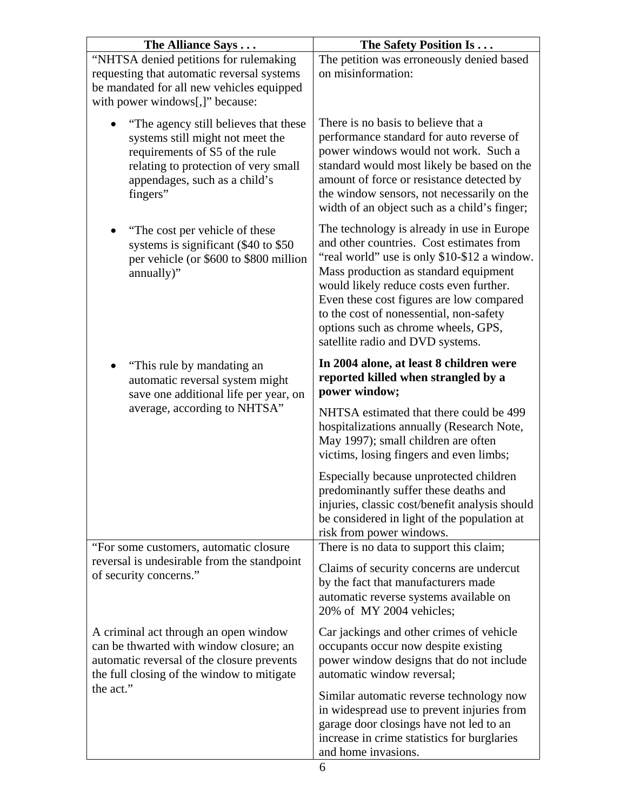| The Alliance Says                                                                                                                                                                                | The Safety Position Is                                                                                                                                                                                                                                                                                                                                                                       |
|--------------------------------------------------------------------------------------------------------------------------------------------------------------------------------------------------|----------------------------------------------------------------------------------------------------------------------------------------------------------------------------------------------------------------------------------------------------------------------------------------------------------------------------------------------------------------------------------------------|
| "NHTSA denied petitions for rulemaking<br>requesting that automatic reversal systems<br>be mandated for all new vehicles equipped<br>with power windows[,]" because:                             | The petition was erroneously denied based<br>on misinformation:                                                                                                                                                                                                                                                                                                                              |
| "The agency still believes that these<br>systems still might not meet the<br>requirements of S5 of the rule<br>relating to protection of very small<br>appendages, such as a child's<br>fingers" | There is no basis to believe that a<br>performance standard for auto reverse of<br>power windows would not work. Such a<br>standard would most likely be based on the<br>amount of force or resistance detected by<br>the window sensors, not necessarily on the<br>width of an object such as a child's finger;                                                                             |
| "The cost per vehicle of these<br>systems is significant (\$40 to \$50)<br>per vehicle (or \$600 to \$800 million<br>annually)"                                                                  | The technology is already in use in Europe<br>and other countries. Cost estimates from<br>"real world" use is only \$10-\$12 a window.<br>Mass production as standard equipment<br>would likely reduce costs even further.<br>Even these cost figures are low compared<br>to the cost of nonessential, non-safety<br>options such as chrome wheels, GPS,<br>satellite radio and DVD systems. |
| "This rule by mandating an<br>automatic reversal system might<br>save one additional life per year, on<br>average, according to NHTSA"                                                           | In 2004 alone, at least 8 children were<br>reported killed when strangled by a<br>power window;                                                                                                                                                                                                                                                                                              |
|                                                                                                                                                                                                  | NHTSA estimated that there could be 499<br>hospitalizations annually (Research Note,<br>May 1997); small children are often<br>victims, losing fingers and even limbs;                                                                                                                                                                                                                       |
|                                                                                                                                                                                                  | Especially because unprotected children<br>predominantly suffer these deaths and<br>injuries, classic cost/benefit analysis should<br>be considered in light of the population at<br>risk from power windows.                                                                                                                                                                                |
| "For some customers, automatic closure<br>reversal is undesirable from the standpoint<br>of security concerns."                                                                                  | There is no data to support this claim;<br>Claims of security concerns are undercut<br>by the fact that manufacturers made<br>automatic reverse systems available on<br>20% of MY 2004 vehicles;                                                                                                                                                                                             |
| A criminal act through an open window<br>can be thwarted with window closure; an<br>automatic reversal of the closure prevents<br>the full closing of the window to mitigate                     | Car jackings and other crimes of vehicle<br>occupants occur now despite existing<br>power window designs that do not include<br>automatic window reversal;                                                                                                                                                                                                                                   |
| the act."                                                                                                                                                                                        | Similar automatic reverse technology now<br>in widespread use to prevent injuries from<br>garage door closings have not led to an<br>increase in crime statistics for burglaries<br>and home invasions.                                                                                                                                                                                      |